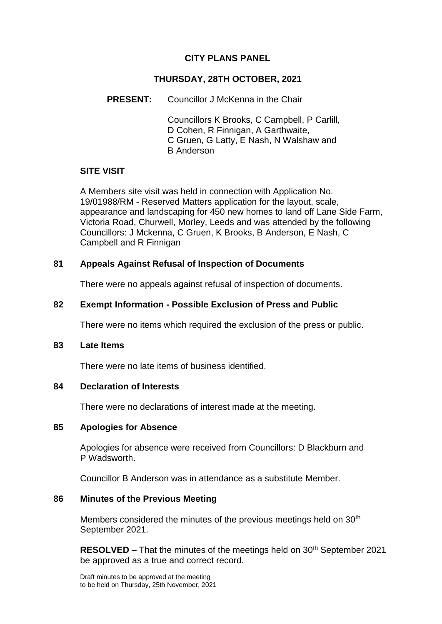## **CITY PLANS PANEL**

## **THURSDAY, 28TH OCTOBER, 2021**

## **PRESENT:** Councillor J McKenna in the Chair

Councillors K Brooks, C Campbell, P Carlill, D Cohen, R Finnigan, A Garthwaite, C Gruen, G Latty, E Nash, N Walshaw and B Anderson

# **SITE VISIT**

A Members site visit was held in connection with Application No. 19/01988/RM - Reserved Matters application for the layout, scale, appearance and landscaping for 450 new homes to land off Lane Side Farm, Victoria Road, Churwell, Morley, Leeds and was attended by the following Councillors: J Mckenna, C Gruen, K Brooks, B Anderson, E Nash, C Campbell and R Finnigan

# **81 Appeals Against Refusal of Inspection of Documents**

There were no appeals against refusal of inspection of documents.

#### **82 Exempt Information - Possible Exclusion of Press and Public**

There were no items which required the exclusion of the press or public.

#### **83 Late Items**

There were no late items of business identified.

#### **84 Declaration of Interests**

There were no declarations of interest made at the meeting.

#### **85 Apologies for Absence**

Apologies for absence were received from Councillors: D Blackburn and P Wadsworth.

Councillor B Anderson was in attendance as a substitute Member.

#### **86 Minutes of the Previous Meeting**

Members considered the minutes of the previous meetings held on  $30<sup>th</sup>$ September 2021.

**RESOLVED** – That the minutes of the meetings held on 30<sup>th</sup> September 2021 be approved as a true and correct record.

Draft minutes to be approved at the meeting to be held on Thursday, 25th November, 2021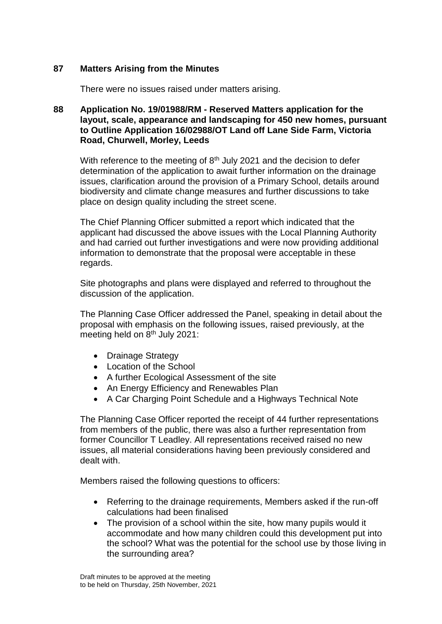#### **87 Matters Arising from the Minutes**

There were no issues raised under matters arising.

#### **88 Application No. 19/01988/RM - Reserved Matters application for the layout, scale, appearance and landscaping for 450 new homes, pursuant to Outline Application 16/02988/OT Land off Lane Side Farm, Victoria Road, Churwell, Morley, Leeds**

With reference to the meeting of  $8<sup>th</sup>$  July 2021 and the decision to defer determination of the application to await further information on the drainage issues, clarification around the provision of a Primary School, details around biodiversity and climate change measures and further discussions to take place on design quality including the street scene.

The Chief Planning Officer submitted a report which indicated that the applicant had discussed the above issues with the Local Planning Authority and had carried out further investigations and were now providing additional information to demonstrate that the proposal were acceptable in these regards.

Site photographs and plans were displayed and referred to throughout the discussion of the application.

The Planning Case Officer addressed the Panel, speaking in detail about the proposal with emphasis on the following issues, raised previously, at the meeting held on 8<sup>th</sup> July 2021:

- Drainage Strategy
- Location of the School
- A further Ecological Assessment of the site
- An Energy Efficiency and Renewables Plan
- A Car Charging Point Schedule and a Highways Technical Note

The Planning Case Officer reported the receipt of 44 further representations from members of the public, there was also a further representation from former Councillor T Leadley. All representations received raised no new issues, all material considerations having been previously considered and dealt with.

Members raised the following questions to officers:

- Referring to the drainage requirements, Members asked if the run-off calculations had been finalised
- The provision of a school within the site, how many pupils would it accommodate and how many children could this development put into the school? What was the potential for the school use by those living in the surrounding area?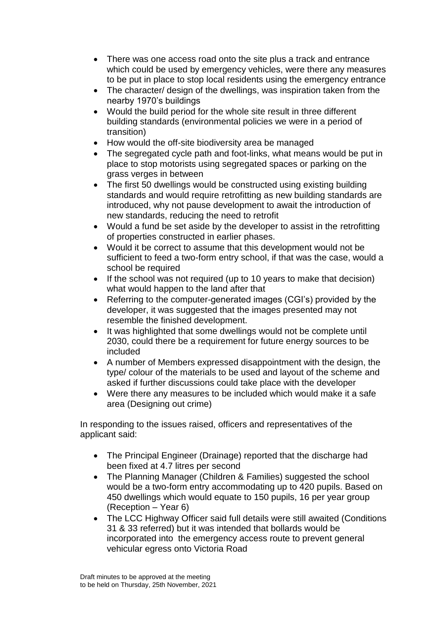- There was one access road onto the site plus a track and entrance which could be used by emergency vehicles, were there any measures to be put in place to stop local residents using the emergency entrance
- The character/ design of the dwellings, was inspiration taken from the nearby 1970's buildings
- Would the build period for the whole site result in three different building standards (environmental policies we were in a period of transition)
- How would the off-site biodiversity area be managed
- The segregated cycle path and foot-links, what means would be put in place to stop motorists using segregated spaces or parking on the grass verges in between
- The first 50 dwellings would be constructed using existing building standards and would require retrofitting as new building standards are introduced, why not pause development to await the introduction of new standards, reducing the need to retrofit
- Would a fund be set aside by the developer to assist in the retrofitting of properties constructed in earlier phases.
- Would it be correct to assume that this development would not be sufficient to feed a two-form entry school, if that was the case, would a school be required
- If the school was not required (up to 10 years to make that decision) what would happen to the land after that
- Referring to the computer-generated images (CGI's) provided by the developer, it was suggested that the images presented may not resemble the finished development.
- It was highlighted that some dwellings would not be complete until 2030, could there be a requirement for future energy sources to be included
- A number of Members expressed disappointment with the design, the type/ colour of the materials to be used and layout of the scheme and asked if further discussions could take place with the developer
- Were there any measures to be included which would make it a safe area (Designing out crime)

In responding to the issues raised, officers and representatives of the applicant said:

- The Principal Engineer (Drainage) reported that the discharge had been fixed at 4.7 litres per second
- The Planning Manager (Children & Families) suggested the school would be a two-form entry accommodating up to 420 pupils. Based on 450 dwellings which would equate to 150 pupils, 16 per year group (Reception – Year 6)
- The LCC Highway Officer said full details were still awaited (Conditions 31 & 33 referred) but it was intended that bollards would be incorporated into the emergency access route to prevent general vehicular egress onto Victoria Road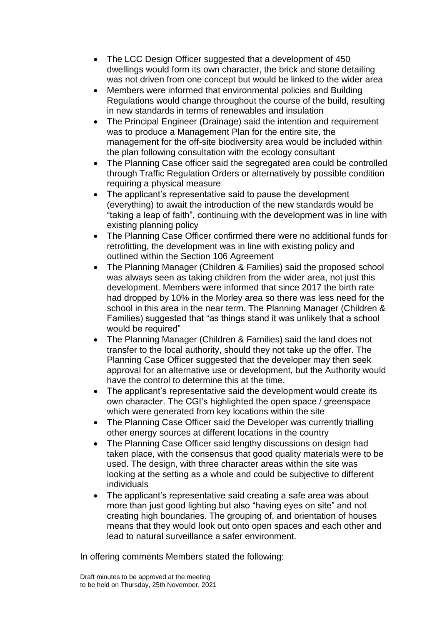- The LCC Design Officer suggested that a development of 450 dwellings would form its own character, the brick and stone detailing was not driven from one concept but would be linked to the wider area
- Members were informed that environmental policies and Building Regulations would change throughout the course of the build, resulting in new standards in terms of renewables and insulation
- The Principal Engineer (Drainage) said the intention and requirement was to produce a Management Plan for the entire site, the management for the off-site biodiversity area would be included within the plan following consultation with the ecology consultant
- The Planning Case officer said the segregated area could be controlled through Traffic Regulation Orders or alternatively by possible condition requiring a physical measure
- The applicant's representative said to pause the development (everything) to await the introduction of the new standards would be "taking a leap of faith", continuing with the development was in line with existing planning policy
- The Planning Case Officer confirmed there were no additional funds for retrofitting, the development was in line with existing policy and outlined within the Section 106 Agreement
- The Planning Manager (Children & Families) said the proposed school was always seen as taking children from the wider area, not just this development. Members were informed that since 2017 the birth rate had dropped by 10% in the Morley area so there was less need for the school in this area in the near term. The Planning Manager (Children & Families) suggested that "as things stand it was unlikely that a school would be required"
- The Planning Manager (Children & Families) said the land does not transfer to the local authority, should they not take up the offer. The Planning Case Officer suggested that the developer may then seek approval for an alternative use or development, but the Authority would have the control to determine this at the time.
- The applicant's representative said the development would create its own character. The CGI's highlighted the open space / greenspace which were generated from key locations within the site
- The Planning Case Officer said the Developer was currently trialling other energy sources at different locations in the country
- The Planning Case Officer said lengthy discussions on design had taken place, with the consensus that good quality materials were to be used. The design, with three character areas within the site was looking at the setting as a whole and could be subjective to different individuals
- The applicant's representative said creating a safe area was about more than just good lighting but also "having eyes on site" and not creating high boundaries. The grouping of, and orientation of houses means that they would look out onto open spaces and each other and lead to natural surveillance a safer environment.

In offering comments Members stated the following: